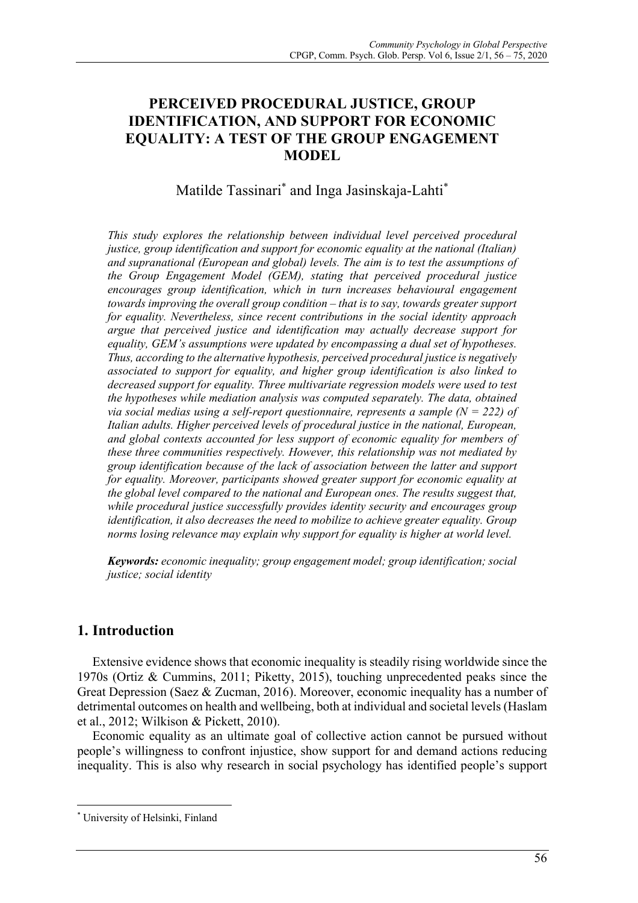# **PERCEIVED PROCEDURAL JUSTICE, GROUP IDENTIFICATION, AND SUPPORT FOR ECONOMIC EQUALITY: A TEST OF THE GROUP ENGAGEMENT MODEL**

# Matilde Tassinari\* and Inga Jasinskaja-Lahti\*

*This study explores the relationship between individual level perceived procedural justice, group identification and support for economic equality at the national (Italian) and supranational (European and global) levels. The aim is to test the assumptions of the Group Engagement Model (GEM), stating that perceived procedural justice encourages group identification, which in turn increases behavioural engagement towards improving the overall group condition – that is to say, towards greater support for equality. Nevertheless, since recent contributions in the social identity approach argue that perceived justice and identification may actually decrease support for equality, GEM's assumptions were updated by encompassing a dual set of hypotheses. Thus, according to the alternative hypothesis, perceived procedural justice is negatively associated to support for equality, and higher group identification is also linked to decreased support for equality. Three multivariate regression models were used to test the hypotheses while mediation analysis was computed separately. The data, obtained via social medias using a self-report questionnaire, represents a sample*  $(N = 222)$  *of Italian adults. Higher perceived levels of procedural justice in the national, European, and global contexts accounted for less support of economic equality for members of these three communities respectively. However, this relationship was not mediated by group identification because of the lack of association between the latter and support for equality. Moreover, participants showed greater support for economic equality at the global level compared to the national and European ones. The results suggest that, while procedural justice successfully provides identity security and encourages group identification, it also decreases the need to mobilize to achieve greater equality. Group norms losing relevance may explain why support for equality is higher at world level.*

*Keywords: economic inequality; group engagement model; group identification; social justice; social identity*

## **1. Introduction**

Extensive evidence shows that economic inequality is steadily rising worldwide since the 1970s (Ortiz & Cummins, 2011; Piketty, 2015), touching unprecedented peaks since the Great Depression (Saez & Zucman, 2016). Moreover, economic inequality has a number of detrimental outcomes on health and wellbeing, both at individual and societal levels (Haslam et al., 2012; Wilkison & Pickett, 2010).

Economic equality as an ultimate goal of collective action cannot be pursued without people's willingness to confront injustice, show support for and demand actions reducing inequality. This is also why research in social psychology has identified people's support

<sup>\*</sup> University of Helsinki, Finland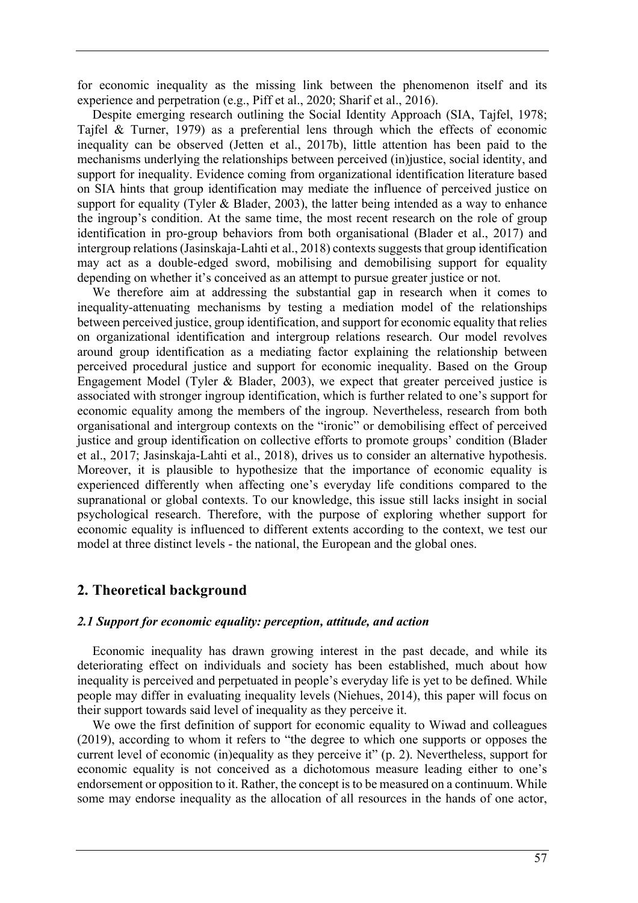for economic inequality as the missing link between the phenomenon itself and its experience and perpetration (e.g., Piff et al., 2020; Sharif et al., 2016).

Despite emerging research outlining the Social Identity Approach (SIA, Tajfel, 1978; Tajfel & Turner, 1979) as a preferential lens through which the effects of economic inequality can be observed (Jetten et al., 2017b), little attention has been paid to the mechanisms underlying the relationships between perceived (in)justice, social identity, and support for inequality. Evidence coming from organizational identification literature based on SIA hints that group identification may mediate the influence of perceived justice on support for equality (Tyler & Blader, 2003), the latter being intended as a way to enhance the ingroup's condition. At the same time, the most recent research on the role of group identification in pro-group behaviors from both organisational (Blader et al., 2017) and intergroup relations (Jasinskaja-Lahti et al., 2018) contexts suggests that group identification may act as a double-edged sword, mobilising and demobilising support for equality depending on whether it's conceived as an attempt to pursue greater justice or not.

We therefore aim at addressing the substantial gap in research when it comes to inequality-attenuating mechanisms by testing a mediation model of the relationships between perceived justice, group identification, and support for economic equality that relies on organizational identification and intergroup relations research. Our model revolves around group identification as a mediating factor explaining the relationship between perceived procedural justice and support for economic inequality. Based on the Group Engagement Model (Tyler & Blader, 2003), we expect that greater perceived justice is associated with stronger ingroup identification, which is further related to one's support for economic equality among the members of the ingroup. Nevertheless, research from both organisational and intergroup contexts on the "ironic" or demobilising effect of perceived justice and group identification on collective efforts to promote groups' condition (Blader et al., 2017; Jasinskaja-Lahti et al., 2018), drives us to consider an alternative hypothesis. Moreover, it is plausible to hypothesize that the importance of economic equality is experienced differently when affecting one's everyday life conditions compared to the supranational or global contexts. To our knowledge, this issue still lacks insight in social psychological research. Therefore, with the purpose of exploring whether support for economic equality is influenced to different extents according to the context, we test our model at three distinct levels - the national, the European and the global ones.

### **2. Theoretical background**

#### *2.1 Support for economic equality: perception, attitude, and action*

Economic inequality has drawn growing interest in the past decade, and while its deteriorating effect on individuals and society has been established, much about how inequality is perceived and perpetuated in people's everyday life is yet to be defined. While people may differ in evaluating inequality levels (Niehues, 2014), this paper will focus on their support towards said level of inequality as they perceive it.

We owe the first definition of support for economic equality to Wiwad and colleagues (2019), according to whom it refers to "the degree to which one supports or opposes the current level of economic (in)equality as they perceive it" (p. 2). Nevertheless, support for economic equality is not conceived as a dichotomous measure leading either to one's endorsement or opposition to it. Rather, the concept is to be measured on a continuum. While some may endorse inequality as the allocation of all resources in the hands of one actor,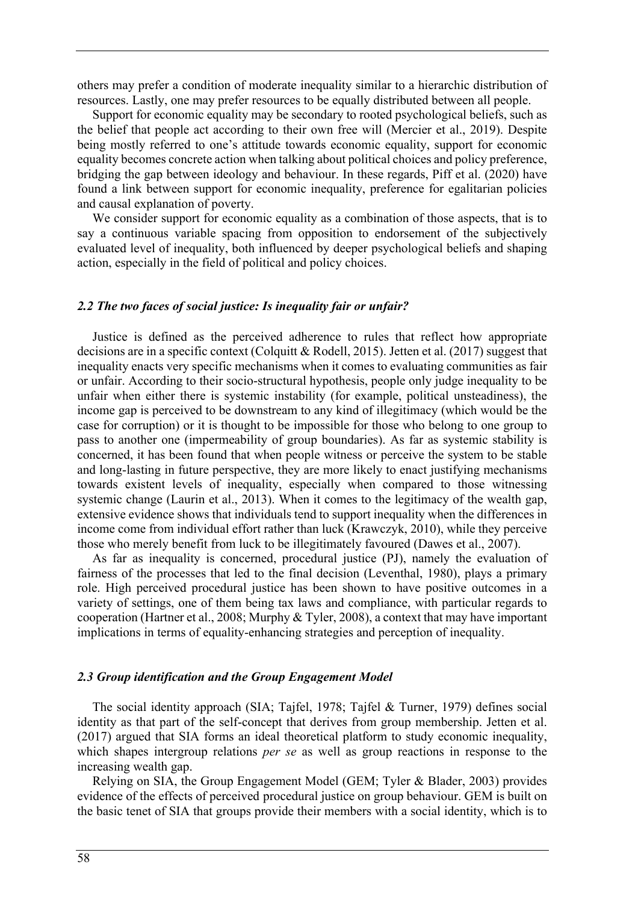others may prefer a condition of moderate inequality similar to a hierarchic distribution of resources. Lastly, one may prefer resources to be equally distributed between all people.

Support for economic equality may be secondary to rooted psychological beliefs, such as the belief that people act according to their own free will (Mercier et al., 2019). Despite being mostly referred to one's attitude towards economic equality, support for economic equality becomes concrete action when talking about political choices and policy preference, bridging the gap between ideology and behaviour. In these regards, Piff et al. (2020) have found a link between support for economic inequality, preference for egalitarian policies and causal explanation of poverty.

We consider support for economic equality as a combination of those aspects, that is to say a continuous variable spacing from opposition to endorsement of the subjectively evaluated level of inequality, both influenced by deeper psychological beliefs and shaping action, especially in the field of political and policy choices.

#### *2.2 The two faces of social justice: Is inequality fair or unfair?*

Justice is defined as the perceived adherence to rules that reflect how appropriate decisions are in a specific context (Colquitt & Rodell, 2015). Jetten et al. (2017) suggest that inequality enacts very specific mechanisms when it comes to evaluating communities as fair or unfair. According to their socio-structural hypothesis, people only judge inequality to be unfair when either there is systemic instability (for example, political unsteadiness), the income gap is perceived to be downstream to any kind of illegitimacy (which would be the case for corruption) or it is thought to be impossible for those who belong to one group to pass to another one (impermeability of group boundaries). As far as systemic stability is concerned, it has been found that when people witness or perceive the system to be stable and long-lasting in future perspective, they are more likely to enact justifying mechanisms towards existent levels of inequality, especially when compared to those witnessing systemic change (Laurin et al., 2013). When it comes to the legitimacy of the wealth gap, extensive evidence shows that individuals tend to support inequality when the differences in income come from individual effort rather than luck (Krawczyk, 2010), while they perceive those who merely benefit from luck to be illegitimately favoured (Dawes et al., 2007).

As far as inequality is concerned, procedural justice (PJ), namely the evaluation of fairness of the processes that led to the final decision (Leventhal, 1980), plays a primary role. High perceived procedural justice has been shown to have positive outcomes in a variety of settings, one of them being tax laws and compliance, with particular regards to cooperation (Hartner et al., 2008; Murphy & Tyler, 2008), a context that may have important implications in terms of equality-enhancing strategies and perception of inequality.

#### *2.3 Group identification and the Group Engagement Model*

The social identity approach (SIA; Tajfel, 1978; Tajfel & Turner, 1979) defines social identity as that part of the self-concept that derives from group membership. Jetten et al. (2017) argued that SIA forms an ideal theoretical platform to study economic inequality, which shapes intergroup relations *per se* as well as group reactions in response to the increasing wealth gap.

Relying on SIA, the Group Engagement Model (GEM; Tyler & Blader, 2003) provides evidence of the effects of perceived procedural justice on group behaviour. GEM is built on the basic tenet of SIA that groups provide their members with a social identity, which is to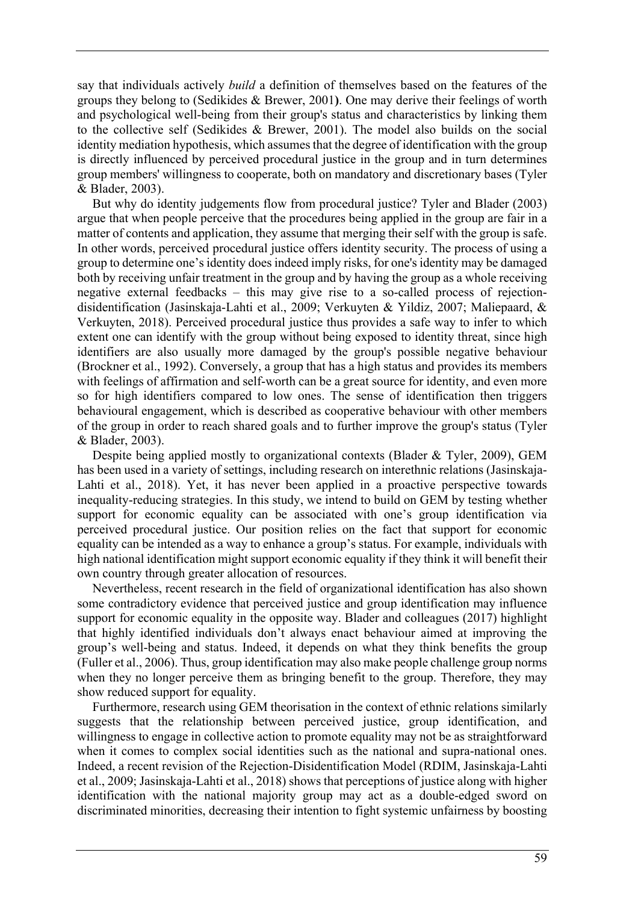say that individuals actively *build* a definition of themselves based on the features of the groups they belong to (Sedikides & Brewer, 2001**)**. One may derive their feelings of worth and psychological well-being from their group's status and characteristics by linking them to the collective self (Sedikides & Brewer, 2001). The model also builds on the social identity mediation hypothesis, which assumes that the degree of identification with the group is directly influenced by perceived procedural justice in the group and in turn determines group members' willingness to cooperate, both on mandatory and discretionary bases (Tyler & Blader, 2003).

But why do identity judgements flow from procedural justice? Tyler and Blader (2003) argue that when people perceive that the procedures being applied in the group are fair in a matter of contents and application, they assume that merging their self with the group is safe. In other words, perceived procedural justice offers identity security. The process of using a group to determine one's identity does indeed imply risks, for one's identity may be damaged both by receiving unfair treatment in the group and by having the group as a whole receiving negative external feedbacks – this may give rise to a so-called process of rejectiondisidentification (Jasinskaja-Lahti et al., 2009; Verkuyten & Yildiz, 2007; Maliepaard, & Verkuyten, 2018). Perceived procedural justice thus provides a safe way to infer to which extent one can identify with the group without being exposed to identity threat, since high identifiers are also usually more damaged by the group's possible negative behaviour (Brockner et al., 1992). Conversely, a group that has a high status and provides its members with feelings of affirmation and self-worth can be a great source for identity, and even more so for high identifiers compared to low ones. The sense of identification then triggers behavioural engagement, which is described as cooperative behaviour with other members of the group in order to reach shared goals and to further improve the group's status (Tyler & Blader, 2003).

Despite being applied mostly to organizational contexts (Blader & Tyler, 2009), GEM has been used in a variety of settings, including research on interethnic relations (Jasinskaja-Lahti et al., 2018). Yet, it has never been applied in a proactive perspective towards inequality-reducing strategies. In this study, we intend to build on GEM by testing whether support for economic equality can be associated with one's group identification via perceived procedural justice. Our position relies on the fact that support for economic equality can be intended as a way to enhance a group's status. For example, individuals with high national identification might support economic equality if they think it will benefit their own country through greater allocation of resources.

Nevertheless, recent research in the field of organizational identification has also shown some contradictory evidence that perceived justice and group identification may influence support for economic equality in the opposite way. Blader and colleagues (2017) highlight that highly identified individuals don't always enact behaviour aimed at improving the group's well-being and status. Indeed, it depends on what they think benefits the group (Fuller et al., 2006). Thus, group identification may also make people challenge group norms when they no longer perceive them as bringing benefit to the group. Therefore, they may show reduced support for equality.

Furthermore, research using GEM theorisation in the context of ethnic relations similarly suggests that the relationship between perceived justice, group identification, and willingness to engage in collective action to promote equality may not be as straightforward when it comes to complex social identities such as the national and supra-national ones. Indeed, a recent revision of the Rejection-Disidentification Model (RDIM, Jasinskaja-Lahti et al., 2009; Jasinskaja-Lahti et al., 2018) shows that perceptions of justice along with higher identification with the national majority group may act as a double-edged sword on discriminated minorities, decreasing their intention to fight systemic unfairness by boosting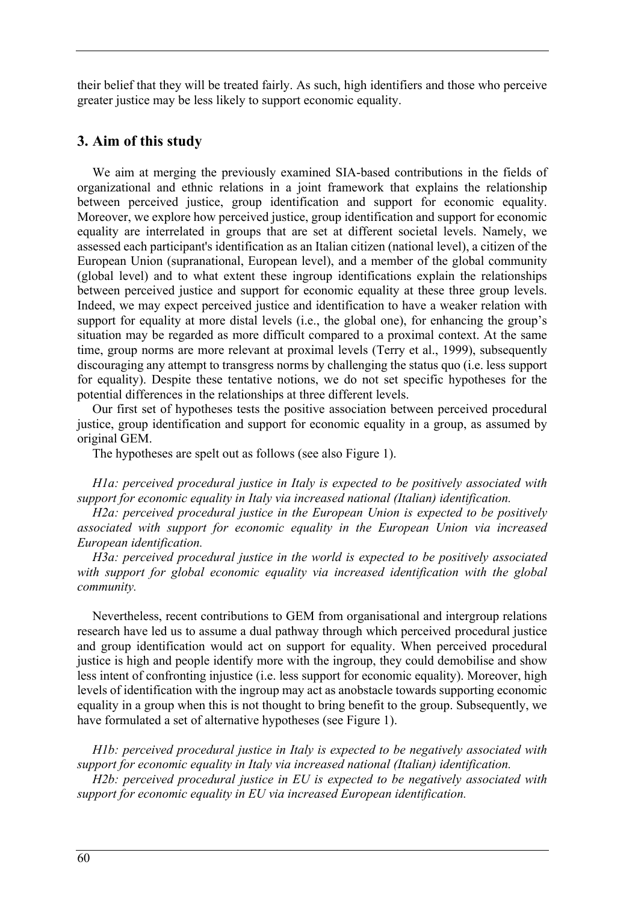their belief that they will be treated fairly. As such, high identifiers and those who perceive greater justice may be less likely to support economic equality.

## **3. Aim of this study**

We aim at merging the previously examined SIA-based contributions in the fields of organizational and ethnic relations in a joint framework that explains the relationship between perceived justice, group identification and support for economic equality. Moreover, we explore how perceived justice, group identification and support for economic equality are interrelated in groups that are set at different societal levels. Namely, we assessed each participant's identification as an Italian citizen (national level), a citizen of the European Union (supranational, European level), and a member of the global community (global level) and to what extent these ingroup identifications explain the relationships between perceived justice and support for economic equality at these three group levels. Indeed, we may expect perceived justice and identification to have a weaker relation with support for equality at more distal levels (i.e., the global one), for enhancing the group's situation may be regarded as more difficult compared to a proximal context. At the same time, group norms are more relevant at proximal levels (Terry et al., 1999), subsequently discouraging any attempt to transgress norms by challenging the status quo (i.e. less support for equality). Despite these tentative notions, we do not set specific hypotheses for the potential differences in the relationships at three different levels.

Our first set of hypotheses tests the positive association between perceived procedural justice, group identification and support for economic equality in a group, as assumed by original GEM.

The hypotheses are spelt out as follows (see also Figure 1).

*H1a: perceived procedural justice in Italy is expected to be positively associated with support for economic equality in Italy via increased national (Italian) identification.*

*H2a: perceived procedural justice in the European Union is expected to be positively associated with support for economic equality in the European Union via increased European identification.*

*H3a: perceived procedural justice in the world is expected to be positively associated with support for global economic equality via increased identification with the global community.*

Nevertheless, recent contributions to GEM from organisational and intergroup relations research have led us to assume a dual pathway through which perceived procedural justice and group identification would act on support for equality. When perceived procedural justice is high and people identify more with the ingroup, they could demobilise and show less intent of confronting injustice (i.e. less support for economic equality). Moreover, high levels of identification with the ingroup may act as anobstacle towards supporting economic equality in a group when this is not thought to bring benefit to the group. Subsequently, we have formulated a set of alternative hypotheses (see Figure 1).

*H1b: perceived procedural justice in Italy is expected to be negatively associated with support for economic equality in Italy via increased national (Italian) identification.*

*H2b: perceived procedural justice in EU is expected to be negatively associated with support for economic equality in EU via increased European identification.*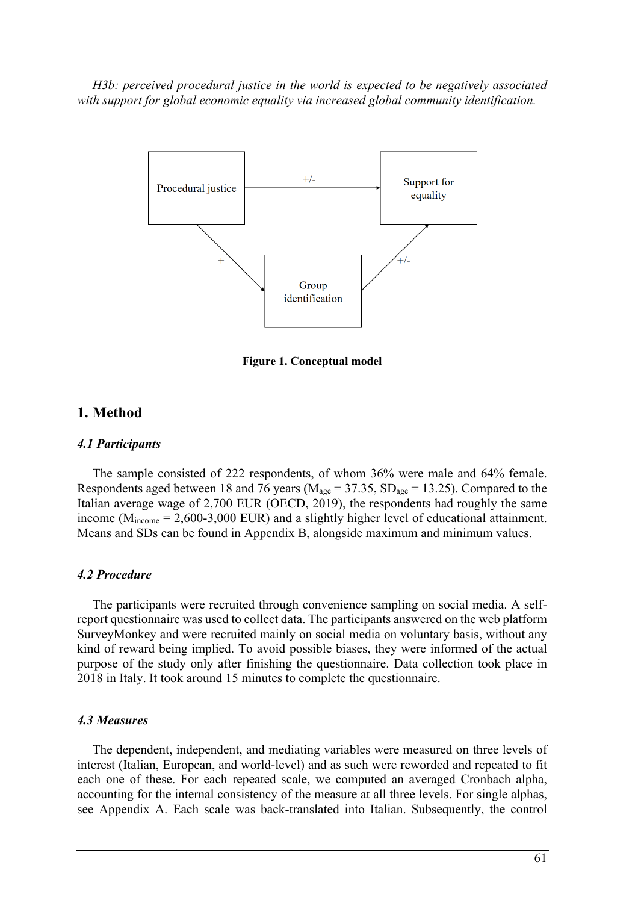*H3b: perceived procedural justice in the world is expected to be negatively associated with support for global economic equality via increased global community identification.*



**Figure 1. Conceptual model**

### **1. Method**

#### *4.1 Participants*

The sample consisted of 222 respondents, of whom 36% were male and 64% female. Respondents aged between 18 and 76 years ( $M_{\text{age}} = 37.35$ ,  $SD_{\text{age}} = 13.25$ ). Compared to the Italian average wage of 2,700 EUR (OECD, 2019), the respondents had roughly the same income  $(M<sub>income</sub> = 2,600-3,000$  EUR) and a slightly higher level of educational attainment. Means and SDs can be found in Appendix B, alongside maximum and minimum values.

#### *4.2 Procedure*

The participants were recruited through convenience sampling on social media. A selfreport questionnaire was used to collect data. The participants answered on the web platform SurveyMonkey and were recruited mainly on social media on voluntary basis, without any kind of reward being implied. To avoid possible biases, they were informed of the actual purpose of the study only after finishing the questionnaire. Data collection took place in 2018 in Italy. It took around 15 minutes to complete the questionnaire.

#### *4.3 Measures*

The dependent, independent, and mediating variables were measured on three levels of interest (Italian, European, and world-level) and as such were reworded and repeated to fit each one of these. For each repeated scale, we computed an averaged Cronbach alpha, accounting for the internal consistency of the measure at all three levels. For single alphas, see Appendix A. Each scale was back-translated into Italian. Subsequently, the control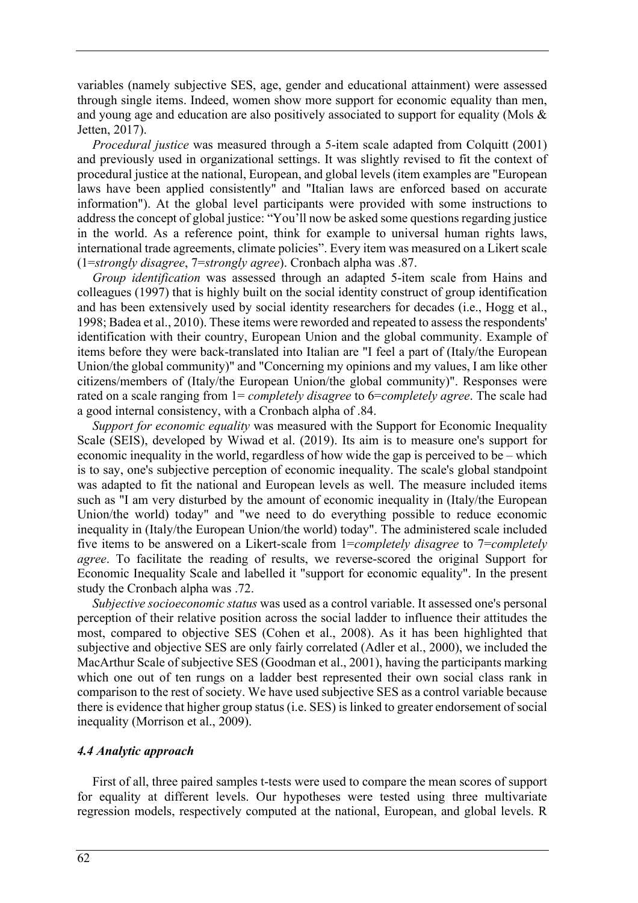variables (namely subjective SES, age, gender and educational attainment) were assessed through single items. Indeed, women show more support for economic equality than men, and young age and education are also positively associated to support for equality (Mols & Jetten, 2017).

*Procedural justice* was measured through a 5-item scale adapted from Colquitt (2001) and previously used in organizational settings. It was slightly revised to fit the context of procedural justice at the national, European, and global levels (item examples are "European laws have been applied consistently" and "Italian laws are enforced based on accurate information"). At the global level participants were provided with some instructions to address the concept of global justice: "You'll now be asked some questions regarding justice in the world. As a reference point, think for example to universal human rights laws, international trade agreements, climate policies". Every item was measured on a Likert scale (1=*strongly disagree*, 7=*strongly agree*). Cronbach alpha was .87.

*Group identification* was assessed through an adapted 5-item scale from Hains and colleagues (1997) that is highly built on the social identity construct of group identification and has been extensively used by social identity researchers for decades (i.e., Hogg et al., 1998; Badea et al., 2010). These items were reworded and repeated to assess the respondents' identification with their country, European Union and the global community. Example of items before they were back-translated into Italian are "I feel a part of (Italy/the European Union/the global community)" and "Concerning my opinions and my values, I am like other citizens/members of (Italy/the European Union/the global community)". Responses were rated on a scale ranging from 1= *completely disagree* to 6=*completely agree*. The scale had a good internal consistency, with a Cronbach alpha of .84.

*Support for economic equality* was measured with the Support for Economic Inequality Scale (SEIS), developed by Wiwad et al. (2019). Its aim is to measure one's support for economic inequality in the world, regardless of how wide the gap is perceived to be – which is to say, one's subjective perception of economic inequality. The scale's global standpoint was adapted to fit the national and European levels as well. The measure included items such as "I am very disturbed by the amount of economic inequality in (Italy/the European Union/the world) today" and "we need to do everything possible to reduce economic inequality in (Italy/the European Union/the world) today". The administered scale included five items to be answered on a Likert-scale from 1=*completely disagree* to 7=*completely agree*. To facilitate the reading of results, we reverse-scored the original Support for Economic Inequality Scale and labelled it "support for economic equality". In the present study the Cronbach alpha was .72.

*Subjective socioeconomic status* was used as a control variable. It assessed one's personal perception of their relative position across the social ladder to influence their attitudes the most, compared to objective SES (Cohen et al., 2008). As it has been highlighted that subjective and objective SES are only fairly correlated (Adler et al., 2000), we included the MacArthur Scale of subjective SES (Goodman et al., 2001), having the participants marking which one out of ten rungs on a ladder best represented their own social class rank in comparison to the rest of society. We have used subjective SES as a control variable because there is evidence that higher group status (i.e. SES) is linked to greater endorsement of social inequality (Morrison et al., 2009).

#### *4.4 Analytic approach*

First of all, three paired samples t-tests were used to compare the mean scores of support for equality at different levels. Our hypotheses were tested using three multivariate regression models, respectively computed at the national, European, and global levels. R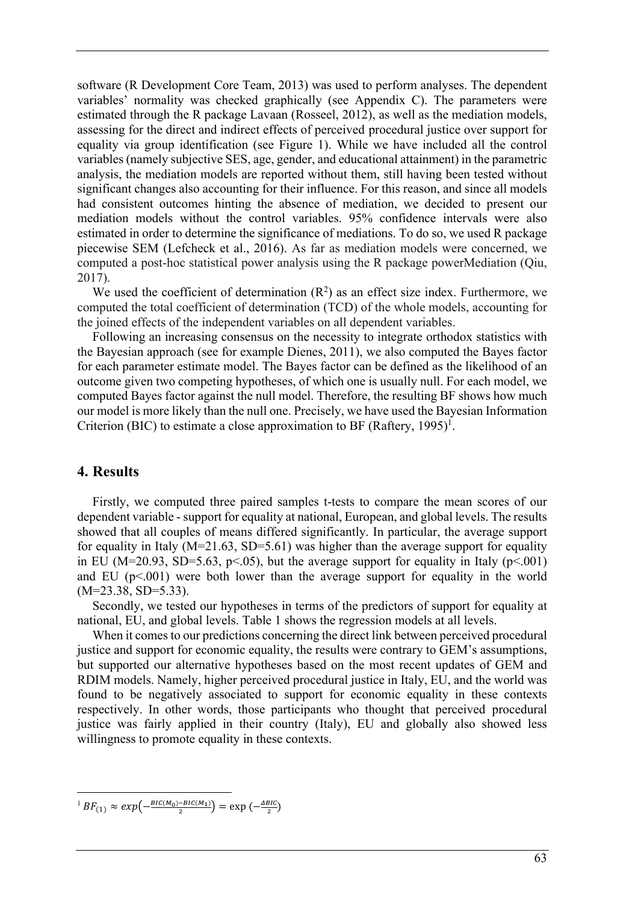software (R Development Core Team, 2013) was used to perform analyses. The dependent variables' normality was checked graphically (see Appendix C). The parameters were estimated through the R package Lavaan (Rosseel, 2012), as well as the mediation models, assessing for the direct and indirect effects of perceived procedural justice over support for equality via group identification (see Figure 1). While we have included all the control variables (namely subjective SES, age, gender, and educational attainment) in the parametric analysis, the mediation models are reported without them, still having been tested without significant changes also accounting for their influence. For this reason, and since all models had consistent outcomes hinting the absence of mediation, we decided to present our mediation models without the control variables. 95% confidence intervals were also estimated in order to determine the significance of mediations. To do so, we used R package piecewise SEM (Lefcheck et al., 2016). As far as mediation models were concerned, we computed a post-hoc statistical power analysis using the R package powerMediation (Qiu, 2017).

We used the coefficient of determination  $(R^2)$  as an effect size index. Furthermore, we computed the total coefficient of determination (TCD) of the whole models, accounting for the joined effects of the independent variables on all dependent variables.

Following an increasing consensus on the necessity to integrate orthodox statistics with the Bayesian approach (see for example Dienes, 2011), we also computed the Bayes factor for each parameter estimate model. The Bayes factor can be defined as the likelihood of an outcome given two competing hypotheses, of which one is usually null. For each model, we computed Bayes factor against the null model. Therefore, the resulting BF shows how much our model is more likely than the null one. Precisely, we have used the Bayesian Information Criterion (BIC) to estimate a close approximation to BF (Raftery,  $1995$ )<sup>1</sup>.

#### **4. Results**

Firstly, we computed three paired samples t-tests to compare the mean scores of our dependent variable - support for equality at national, European, and global levels. The results showed that all couples of means differed significantly. In particular, the average support for equality in Italy ( $M=21.63$ , SD=5.61) was higher than the average support for equality in EU (M=20.93, SD=5.63, p<.05), but the average support for equality in Italy (p<.001) and EU  $(p<.001)$  were both lower than the average support for equality in the world (M=23.38, SD=5.33).

Secondly, we tested our hypotheses in terms of the predictors of support for equality at national, EU, and global levels. Table 1 shows the regression models at all levels.

When it comes to our predictions concerning the direct link between perceived procedural justice and support for economic equality, the results were contrary to GEM's assumptions, but supported our alternative hypotheses based on the most recent updates of GEM and RDIM models. Namely, higher perceived procedural justice in Italy, EU, and the world was found to be negatively associated to support for economic equality in these contexts respectively. In other words, those participants who thought that perceived procedural justice was fairly applied in their country (Italy), EU and globally also showed less willingness to promote equality in these contexts.

 $1 BF_{(1)} \approx exp(-\frac{BIC(M_0)-BIC(M_1)}{2}) = exp(-\frac{\Delta BIC}{2})$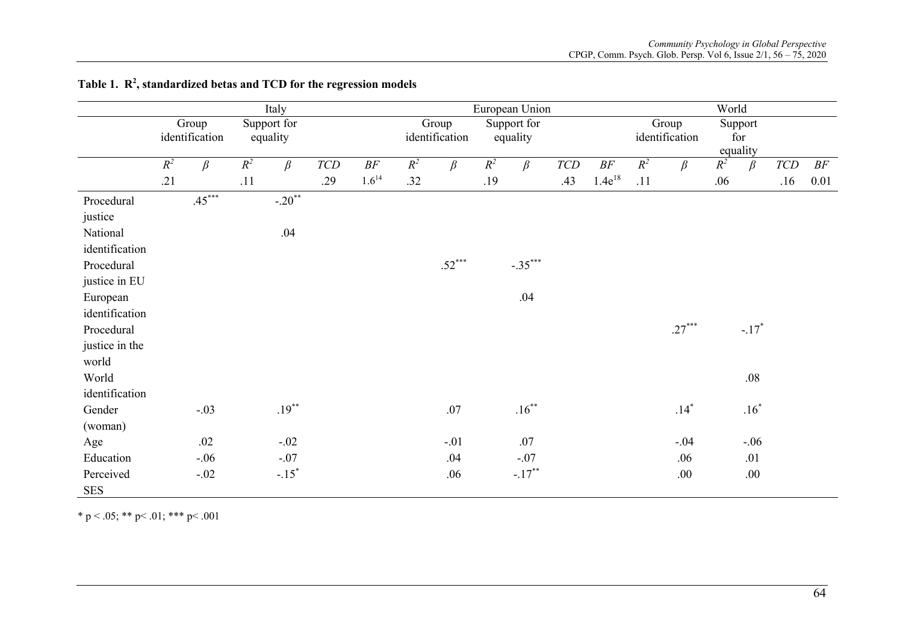|                | Italy |                |       |                     |                                |                     |       | European Union |       |             |                |             |       | World          |       |          |                |        |
|----------------|-------|----------------|-------|---------------------|--------------------------------|---------------------|-------|----------------|-------|-------------|----------------|-------------|-------|----------------|-------|----------|----------------|--------|
|                |       | Group          |       | Support for         |                                |                     |       | Group          |       | Support for |                |             |       | Group          |       | Support  |                |        |
|                |       | identification |       | equality            |                                |                     |       | identification |       | equality    |                |             |       | identification |       | for      |                |        |
|                |       |                |       |                     |                                |                     |       |                |       |             |                |             |       |                |       | equality |                |        |
|                | $R^2$ | $\beta$        | $R^2$ | $\beta$             | ${\cal T}\!{\cal C}\!{\cal D}$ | $B\hspace{-0.1cm}F$ | $R^2$ | $\beta$        | $R^2$ | $\beta$     | $\mathit{TCD}$ | $B\!F$      | $R^2$ | $\beta$        | $R^2$ | $\beta$  | $\mathit{TCD}$ | $B\!F$ |
|                | .21   |                | .11   |                     | .29                            | $1.6^{14}$          | .32   |                | .19   |             | .43            | $1.4e^{18}$ | .11   |                | .06   |          | .16            | 0.01   |
| Procedural     |       | $.45***$       |       | $-.20$ **           |                                |                     |       |                |       |             |                |             |       |                |       |          |                |        |
| justice        |       |                |       |                     |                                |                     |       |                |       |             |                |             |       |                |       |          |                |        |
| National       |       |                |       | .04                 |                                |                     |       |                |       |             |                |             |       |                |       |          |                |        |
| identification |       |                |       |                     |                                |                     |       |                |       |             |                |             |       |                |       |          |                |        |
| Procedural     |       |                |       |                     |                                |                     |       | $.52***$       |       | $-.35***$   |                |             |       |                |       |          |                |        |
| justice in EU  |       |                |       |                     |                                |                     |       |                |       |             |                |             |       |                |       |          |                |        |
| European       |       |                |       |                     |                                |                     |       |                |       | .04         |                |             |       |                |       |          |                |        |
| identification |       |                |       |                     |                                |                     |       |                |       |             |                |             |       |                |       |          |                |        |
| Procedural     |       |                |       |                     |                                |                     |       |                |       |             |                |             |       | $.27***$       |       | $-.17*$  |                |        |
| justice in the |       |                |       |                     |                                |                     |       |                |       |             |                |             |       |                |       |          |                |        |
| world          |       |                |       |                     |                                |                     |       |                |       |             |                |             |       |                |       |          |                |        |
| World          |       |                |       |                     |                                |                     |       |                |       |             |                |             |       |                |       | $.08\,$  |                |        |
| identification |       |                |       |                     |                                |                     |       |                |       |             |                |             |       |                |       |          |                |        |
| Gender         |       | $-.03$         |       | $.19***$            |                                |                     |       | .07            |       | $.16***$    |                |             |       | $.14*$         |       | $.16*$   |                |        |
| (woman)        |       |                |       |                     |                                |                     |       |                |       |             |                |             |       |                |       |          |                |        |
| Age            |       | .02            |       | $-.02$              |                                |                     |       | $-.01$         |       | .07         |                |             |       | $-.04$         |       | $-.06$   |                |        |
| Education      |       | $-.06$         |       | $-.07$              |                                |                     |       | .04            |       | $-.07$      |                |             |       | .06            |       | .01      |                |        |
| Perceived      |       | $-.02$         |       | $-.15$ <sup>*</sup> |                                |                     |       | .06            |       | $-.17***$   |                |             |       | .00.           |       | .00.     |                |        |
| <b>SES</b>     |       |                |       |                     |                                |                     |       |                |       |             |                |             |       |                |       |          |                |        |

Table 1. R<sup>2</sup>, standardized betas and TCD for the regression models

\* p < .05; \*\* p < .01; \*\*\* p < .001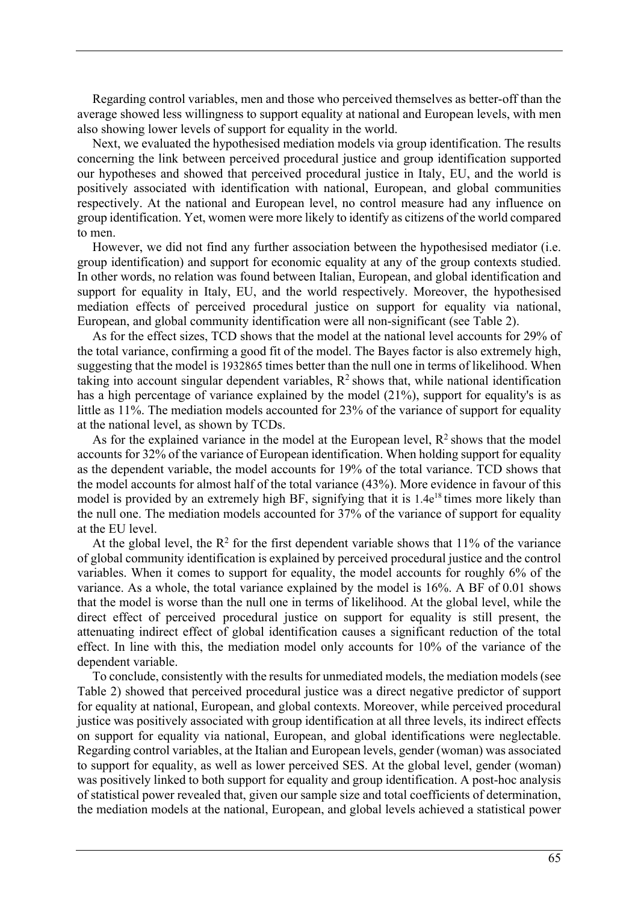Regarding control variables, men and those who perceived themselves as better-off than the average showed less willingness to support equality at national and European levels, with men also showing lower levels of support for equality in the world.

Next, we evaluated the hypothesised mediation models via group identification. The results concerning the link between perceived procedural justice and group identification supported our hypotheses and showed that perceived procedural justice in Italy, EU, and the world is positively associated with identification with national, European, and global communities respectively. At the national and European level, no control measure had any influence on group identification. Yet, women were more likely to identify as citizens of the world compared to men.

However, we did not find any further association between the hypothesised mediator (i.e. group identification) and support for economic equality at any of the group contexts studied. In other words, no relation was found between Italian, European, and global identification and support for equality in Italy, EU, and the world respectively. Moreover, the hypothesised mediation effects of perceived procedural justice on support for equality via national, European, and global community identification were all non-significant (see Table 2).

As for the effect sizes, TCD shows that the model at the national level accounts for 29% of the total variance, confirming a good fit of the model. The Bayes factor is also extremely high, suggesting that the model is 1932865 times better than the null one in terms of likelihood. When taking into account singular dependent variables,  $R^2$  shows that, while national identification has a high percentage of variance explained by the model (21%), support for equality's is as little as 11%. The mediation models accounted for 23% of the variance of support for equality at the national level, as shown by TCDs.

As for the explained variance in the model at the European level,  $R^2$  shows that the model accounts for 32% of the variance of European identification. When holding support for equality as the dependent variable, the model accounts for 19% of the total variance. TCD shows that the model accounts for almost half of the total variance (43%). More evidence in favour of this model is provided by an extremely high BF, signifying that it is 1.4e<sup>18</sup> times more likely than the null one. The mediation models accounted for 37% of the variance of support for equality at the EU level.

At the global level, the  $R^2$  for the first dependent variable shows that 11% of the variance of global community identification is explained by perceived procedural justice and the control variables. When it comes to support for equality, the model accounts for roughly 6% of the variance. As a whole, the total variance explained by the model is 16%. A BF of 0.01 shows that the model is worse than the null one in terms of likelihood. At the global level, while the direct effect of perceived procedural justice on support for equality is still present, the attenuating indirect effect of global identification causes a significant reduction of the total effect. In line with this, the mediation model only accounts for 10% of the variance of the dependent variable.

To conclude, consistently with the results for unmediated models, the mediation models (see Table 2) showed that perceived procedural justice was a direct negative predictor of support for equality at national, European, and global contexts. Moreover, while perceived procedural justice was positively associated with group identification at all three levels, its indirect effects on support for equality via national, European, and global identifications were neglectable. Regarding control variables, at the Italian and European levels, gender (woman) was associated to support for equality, as well as lower perceived SES. At the global level, gender (woman) was positively linked to both support for equality and group identification. A post-hoc analysis of statistical power revealed that, given our sample size and total coefficients of determination, the mediation models at the national, European, and global levels achieved a statistical power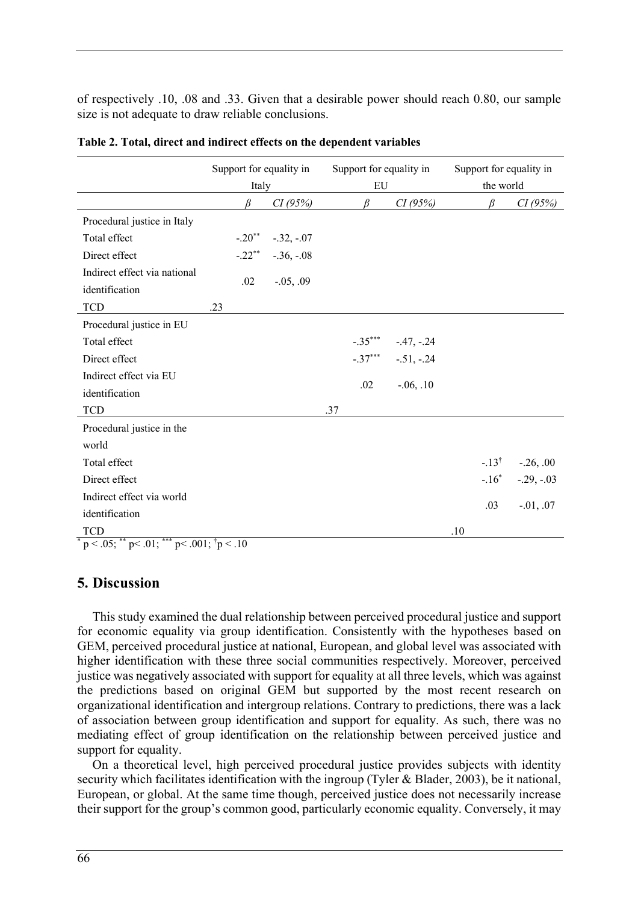of respectively .10, .08 and .33. Given that a desirable power should reach 0.80, our sample size is not adequate to draw reliable conclusions.

|                                                               | Support for equality in<br>Italy |               | EU  | Support for equality in |               | Support for equality in<br>the world |                  |               |
|---------------------------------------------------------------|----------------------------------|---------------|-----|-------------------------|---------------|--------------------------------------|------------------|---------------|
|                                                               | R                                | CI(95%)       |     | R                       | CI(95%)       |                                      | R                | CI(95%)       |
| Procedural justice in Italy                                   |                                  |               |     |                         |               |                                      |                  |               |
| Total effect                                                  | $-.20$ <sup>**</sup>             | $-.32, -.07$  |     |                         |               |                                      |                  |               |
| Direct effect                                                 | $-.22$ **                        | $-.36, -.08$  |     |                         |               |                                      |                  |               |
| Indirect effect via national<br>identification                | .02                              | $-0.05, 0.09$ |     |                         |               |                                      |                  |               |
| <b>TCD</b>                                                    | .23                              |               |     |                         |               |                                      |                  |               |
| Procedural justice in EU                                      |                                  |               |     |                         |               |                                      |                  |               |
| Total effect                                                  |                                  |               |     | $-.35***$               | $-.47, -.24$  |                                      |                  |               |
| Direct effect                                                 |                                  |               |     | $-.37***$               | $-.51, -.24$  |                                      |                  |               |
| Indirect effect via EU                                        |                                  |               |     | .02                     |               |                                      |                  |               |
| identification                                                |                                  |               |     |                         | $-0.06, 0.10$ |                                      |                  |               |
| <b>TCD</b>                                                    |                                  |               | .37 |                         |               |                                      |                  |               |
| Procedural justice in the                                     |                                  |               |     |                         |               |                                      |                  |               |
| world                                                         |                                  |               |     |                         |               |                                      |                  |               |
| Total effect                                                  |                                  |               |     |                         |               |                                      | $-.13^{\dagger}$ | $-.26, .00$   |
| Direct effect                                                 |                                  |               |     |                         |               |                                      | $-.16*$          | $-.29, -.03$  |
| Indirect effect via world                                     |                                  |               |     |                         |               |                                      |                  |               |
| identification                                                |                                  |               |     |                         |               |                                      | .03              | $-0.01, 0.07$ |
| <b>TCD</b>                                                    |                                  |               |     |                         |               | .10                                  |                  |               |
| $p < .05$ ; ** $p < .01$ ; *** $p < .001$ ; $\dagger p < .10$ |                                  |               |     |                         |               |                                      |                  |               |

|  |  |  |  | Table 2. Total, direct and indirect effects on the dependent variables |  |
|--|--|--|--|------------------------------------------------------------------------|--|
|  |  |  |  |                                                                        |  |

## **5. Discussion**

This study examined the dual relationship between perceived procedural justice and support for economic equality via group identification. Consistently with the hypotheses based on GEM, perceived procedural justice at national, European, and global level was associated with higher identification with these three social communities respectively. Moreover, perceived justice was negatively associated with support for equality at all three levels, which was against the predictions based on original GEM but supported by the most recent research on organizational identification and intergroup relations. Contrary to predictions, there was a lack of association between group identification and support for equality. As such, there was no mediating effect of group identification on the relationship between perceived justice and support for equality.

On a theoretical level, high perceived procedural justice provides subjects with identity security which facilitates identification with the ingroup (Tyler & Blader, 2003), be it national, European, or global. At the same time though, perceived justice does not necessarily increase their support for the group's common good, particularly economic equality. Conversely, it may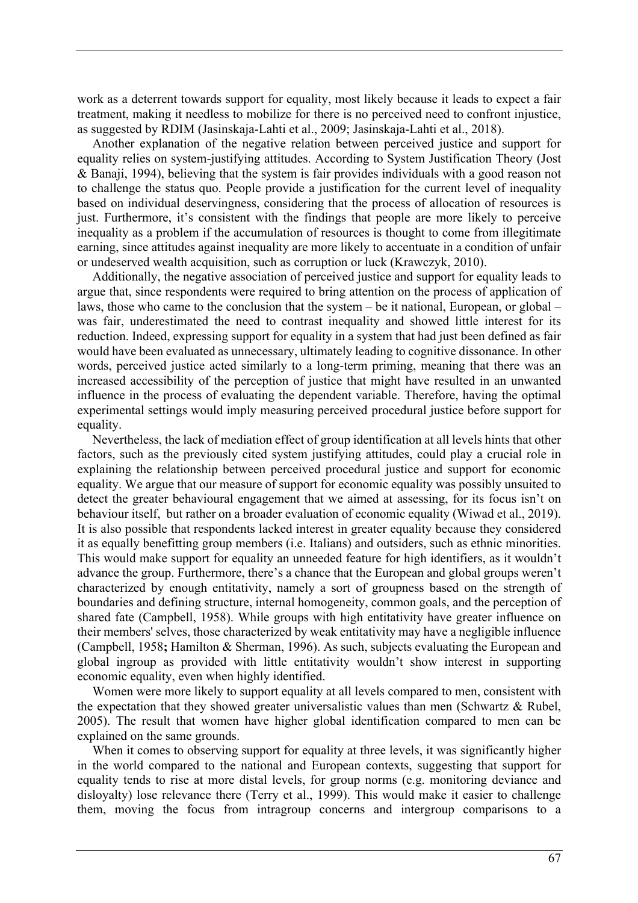work as a deterrent towards support for equality, most likely because it leads to expect a fair treatment, making it needless to mobilize for there is no perceived need to confront injustice, as suggested by RDIM (Jasinskaja-Lahti et al., 2009; Jasinskaja-Lahti et al., 2018).

Another explanation of the negative relation between perceived justice and support for equality relies on system-justifying attitudes. According to System Justification Theory (Jost & Banaji, 1994), believing that the system is fair provides individuals with a good reason not to challenge the status quo. People provide a justification for the current level of inequality based on individual deservingness, considering that the process of allocation of resources is just. Furthermore, it's consistent with the findings that people are more likely to perceive inequality as a problem if the accumulation of resources is thought to come from illegitimate earning, since attitudes against inequality are more likely to accentuate in a condition of unfair or undeserved wealth acquisition, such as corruption or luck (Krawczyk, 2010).

Additionally, the negative association of perceived justice and support for equality leads to argue that, since respondents were required to bring attention on the process of application of laws, those who came to the conclusion that the system – be it national, European, or global – was fair, underestimated the need to contrast inequality and showed little interest for its reduction. Indeed, expressing support for equality in a system that had just been defined as fair would have been evaluated as unnecessary, ultimately leading to cognitive dissonance. In other words, perceived justice acted similarly to a long-term priming, meaning that there was an increased accessibility of the perception of justice that might have resulted in an unwanted influence in the process of evaluating the dependent variable. Therefore, having the optimal experimental settings would imply measuring perceived procedural justice before support for equality.

Nevertheless, the lack of mediation effect of group identification at all levels hints that other factors, such as the previously cited system justifying attitudes, could play a crucial role in explaining the relationship between perceived procedural justice and support for economic equality. We argue that our measure of support for economic equality was possibly unsuited to detect the greater behavioural engagement that we aimed at assessing, for its focus isn't on behaviour itself, but rather on a broader evaluation of economic equality (Wiwad et al., 2019). It is also possible that respondents lacked interest in greater equality because they considered it as equally benefitting group members (i.e. Italians) and outsiders, such as ethnic minorities. This would make support for equality an unneeded feature for high identifiers, as it wouldn't advance the group. Furthermore, there's a chance that the European and global groups weren't characterized by enough entitativity, namely a sort of groupness based on the strength of boundaries and defining structure, internal homogeneity, common goals, and the perception of shared fate (Campbell, 1958). While groups with high entitativity have greater influence on their members' selves, those characterized by weak entitativity may have a negligible influence (Campbell, 1958**;** Hamilton & Sherman, 1996). As such, subjects evaluating the European and global ingroup as provided with little entitativity wouldn't show interest in supporting economic equality, even when highly identified.

Women were more likely to support equality at all levels compared to men, consistent with the expectation that they showed greater universalistic values than men (Schwartz & Rubel, 2005). The result that women have higher global identification compared to men can be explained on the same grounds.

When it comes to observing support for equality at three levels, it was significantly higher in the world compared to the national and European contexts, suggesting that support for equality tends to rise at more distal levels, for group norms (e.g. monitoring deviance and disloyalty) lose relevance there (Terry et al., 1999). This would make it easier to challenge them, moving the focus from intragroup concerns and intergroup comparisons to a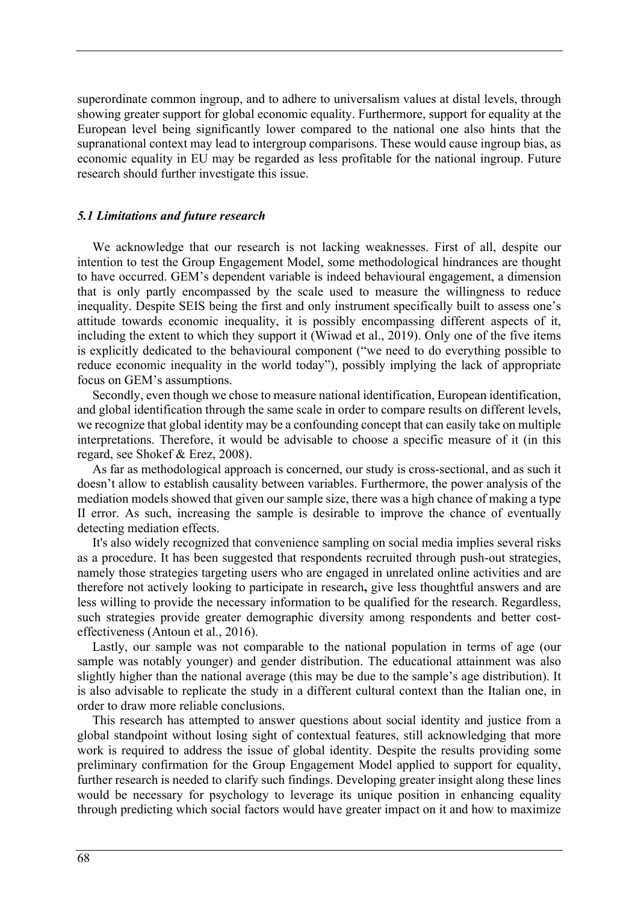superordinate common ingroup, and to adhere to universalism values at distal levels, through showing greater support for global economic equality. Furthermore, support for equality at the European level being significantly lower compared to the national one also hints that the supranational context may lead to intergroup comparisons. These would cause ingroup bias, as economic equality in EU may be regarded as less profitable for the national ingroup. Future research should further investigate this issue.

#### *5.1 Limitations and future research*

We acknowledge that our research is not lacking weaknesses. First of all, despite our intention to test the Group Engagement Model, some methodological hindrances are thought to have occurred. GEM's dependent variable is indeed behavioural engagement, a dimension that is only partly encompassed by the scale used to measure the willingness to reduce inequality. Despite SEIS being the first and only instrument specifically built to assess one's attitude towards economic inequality, it is possibly encompassing different aspects of it, including the extent to which they support it (Wiwad et al., 2019). Only one of the five items is explicitly dedicated to the behavioural component ("we need to do everything possible to reduce economic inequality in the world today"), possibly implying the lack of appropriate focus on GEM's assumptions.

Secondly, even though we chose to measure national identification, European identification, and global identification through the same scale in order to compare results on different levels, we recognize that global identity may be a confounding concept that can easily take on multiple interpretations. Therefore, it would be advisable to choose a specific measure of it (in this regard, see Shokef & Erez, 2008).

As far as methodological approach is concerned, our study is cross-sectional, and as such it doesn't allow to establish causality between variables. Furthermore, the power analysis of the mediation models showed that given our sample size, there was a high chance of making a type II error. As such, increasing the sample is desirable to improve the chance of eventually detecting mediation effects.

It's also widely recognized that convenience sampling on social media implies several risks as a procedure. It has been suggested that respondents recruited through push-out strategies, namely those strategies targeting users who are engaged in unrelated online activities and are therefore not actively looking to participate in research**,** give less thoughtful answers and are less willing to provide the necessary information to be qualified for the research. Regardless, such strategies provide greater demographic diversity among respondents and better costeffectiveness (Antoun et al., 2016).

Lastly, our sample was not comparable to the national population in terms of age (our sample was notably younger) and gender distribution. The educational attainment was also slightly higher than the national average (this may be due to the sample's age distribution). It is also advisable to replicate the study in a different cultural context than the Italian one, in order to draw more reliable conclusions.

This research has attempted to answer questions about social identity and justice from a global standpoint without losing sight of contextual features, still acknowledging that more work is required to address the issue of global identity. Despite the results providing some preliminary confirmation for the Group Engagement Model applied to support for equality, further research is needed to clarify such findings. Developing greater insight along these lines would be necessary for psychology to leverage its unique position in enhancing equality through predicting which social factors would have greater impact on it and how to maximize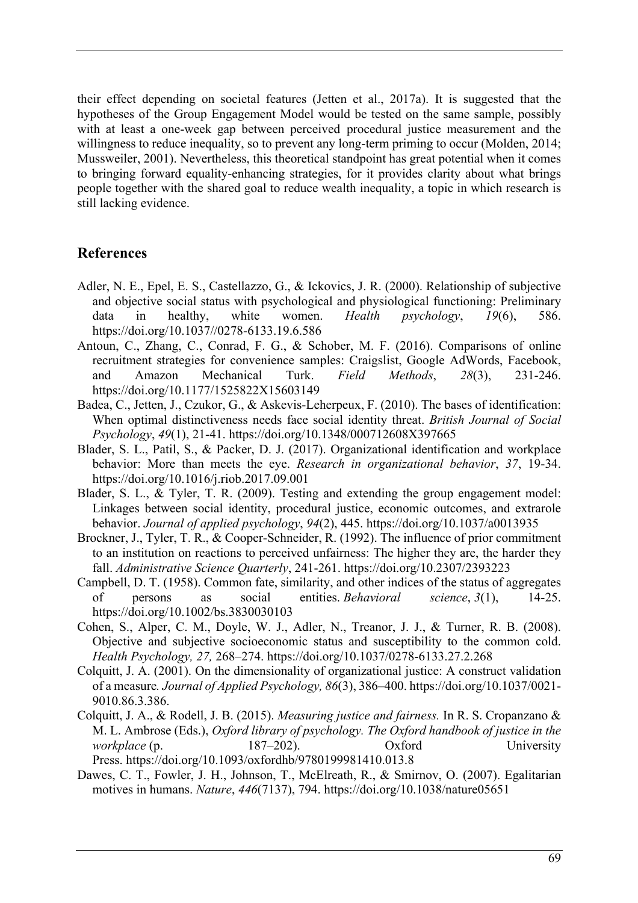their effect depending on societal features (Jetten et al., 2017a). It is suggested that the hypotheses of the Group Engagement Model would be tested on the same sample, possibly with at least a one-week gap between perceived procedural justice measurement and the willingness to reduce inequality, so to prevent any long-term priming to occur (Molden, 2014; Mussweiler, 2001). Nevertheless, this theoretical standpoint has great potential when it comes to bringing forward equality-enhancing strategies, for it provides clarity about what brings people together with the shared goal to reduce wealth inequality, a topic in which research is still lacking evidence.

## **References**

- Adler, N. E., Epel, E. S., Castellazzo, G., & Ickovics, J. R. (2000). Relationship of subjective and objective social status with psychological and physiological functioning: Preliminary data in healthy, white women. *Health psychology*, *19*(6), 586. https://doi.org/10.1037//0278-6133.19.6.586
- Antoun, C., Zhang, C., Conrad, F. G., & Schober, M. F. (2016). Comparisons of online recruitment strategies for convenience samples: Craigslist, Google AdWords, Facebook, and Amazon Mechanical Turk. *Field Methods*, *28*(3), 231-246. https://doi.org/10.1177/1525822X15603149
- Badea, C., Jetten, J., Czukor, G., & Askevis‐Leherpeux, F. (2010). The bases of identification: When optimal distinctiveness needs face social identity threat. *British Journal of Social Psychology*, *49*(1), 21-41. https://doi.org/10.1348/000712608X397665
- Blader, S. L., Patil, S., & Packer, D. J. (2017). Organizational identification and workplace behavior: More than meets the eye. *Research in organizational behavior*, *37*, 19-34. https://doi.org/10.1016/j.riob.2017.09.001
- Blader, S. L., & Tyler, T. R. (2009). Testing and extending the group engagement model: Linkages between social identity, procedural justice, economic outcomes, and extrarole behavior. *Journal of applied psychology*, *94*(2), 445. https://doi.org/10.1037/a0013935
- Brockner, J., Tyler, T. R., & Cooper-Schneider, R. (1992). The influence of prior commitment to an institution on reactions to perceived unfairness: The higher they are, the harder they fall. *Administrative Science Quarterly*, 241-261. https://doi.org/10.2307/2393223
- Campbell, D. T. (1958). Common fate, similarity, and other indices of the status of aggregates of persons as social entities. *Behavioral science*, *3*(1), 14-25. https://doi.org/10.1002/bs.3830030103
- Cohen, S., Alper, C. M., Doyle, W. J., Adler, N., Treanor, J. J., & Turner, R. B. (2008). Objective and subjective socioeconomic status and susceptibility to the common cold. *Health Psychology, 27,* 268–274. https://doi.org/10.1037/0278-6133.27.2.268
- Colquitt, J. A. (2001). On the dimensionality of organizational justice: A construct validation of a measure*. Journal of Applied Psychology, 86*(3), 386–400. https://doi.org/10.1037/0021- 9010.86.3.386.
- Colquitt, J. A., & Rodell, J. B. (2015). *Measuring justice and fairness.* In R. S. Cropanzano & M. L. Ambrose (Eds.), *Oxford library of psychology. The Oxford handbook of justice in the workplace* (p. 187–202). Oxford University Press. https://doi.org/10.1093/oxfordhb/9780199981410.013.8
- Dawes, C. T., Fowler, J. H., Johnson, T., McElreath, R., & Smirnov, O. (2007). Egalitarian motives in humans. *Nature*, *446*(7137), 794. https://doi.org/10.1038/nature05651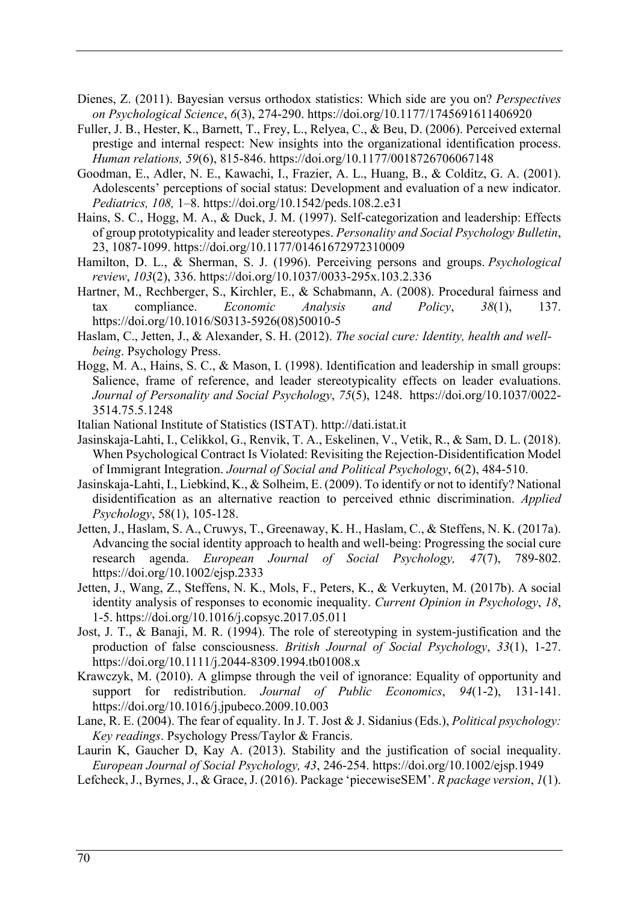- Dienes, Z. (2011). Bayesian versus orthodox statistics: Which side are you on? *Perspectives on Psychological Science*, *6*(3), 274-290. https://doi.org/10.1177/1745691611406920
- Fuller, J. B., Hester, K., Barnett, T., Frey, L., Relyea, C., & Beu, D. (2006). Perceived external prestige and internal respect: New insights into the organizational identification process. *Human relations, 59*(6), 815-846. https://doi.org/10.1177/0018726706067148
- Goodman, E., Adler, N. E., Kawachi, I., Frazier, A. L., Huang, B., & Colditz, G. A. (2001). Adolescents' perceptions of social status: Development and evaluation of a new indicator. *Pediatrics, 108,* 1–8. https://doi.org/10.1542/peds.108.2.e31
- Hains, S. C., Hogg, M. A., & Duck, J. M. (1997). Self-categorization and leadership: Effects of group prototypicality and leader stereotypes. *Personality and Social Psychology Bulletin*, 23, 1087-1099. https://doi.org/10.1177/01461672972310009
- Hamilton, D. L., & Sherman, S. J. (1996). Perceiving persons and groups. *Psychological review*, *103*(2), 336. https://doi.org/10.1037/0033-295x.103.2.336
- Hartner, M., Rechberger, S., Kirchler, E., & Schabmann, A. (2008). Procedural fairness and tax compliance. *Economic Analysis and Policy*, *38*(1), 137. https://doi.org/10.1016/S0313-5926(08)50010-5
- Haslam, C., Jetten, J., & Alexander, S. H. (2012). *The social cure: Identity, health and wellbeing*. Psychology Press.
- Hogg, M. A., Hains, S. C., & Mason, I. (1998). Identification and leadership in small groups: Salience, frame of reference, and leader stereotypicality effects on leader evaluations. *Journal of Personality and Social Psychology*, *75*(5), 1248. https://doi.org/10.1037/0022- 3514.75.5.1248
- Italian National Institute of Statistics (ISTAT). http://dati.istat.it
- Jasinskaja-Lahti, I., Celikkol, G., Renvik, T. A., Eskelinen, V., Vetik, R., & Sam, D. L. (2018). When Psychological Contract Is Violated: Revisiting the Rejection-Disidentification Model of Immigrant Integration. *Journal of Social and Political Psychology*, 6(2), 484-510.
- Jasinskaja-Lahti, I., Liebkind, K., & Solheim, E. (2009). To identify or not to identify? National disidentification as an alternative reaction to perceived ethnic discrimination. *Applied Psychology*, 58(1), 105-128.
- Jetten, J., Haslam, S. A., Cruwys, T., Greenaway, K. H., Haslam, C., & Steffens, N. K. (2017a). Advancing the social identity approach to health and well‐being: Progressing the social cure research agenda. *European Journal of Social Psychology, 47*(7), 789-802. https://doi.org/10.1002/ejsp.2333
- Jetten, J., Wang, Z., Steffens, N. K., Mols, F., Peters, K., & Verkuyten, M. (2017b). A social identity analysis of responses to economic inequality. *Current Opinion in Psychology*, *18*, 1-5. https://doi.org/10.1016/j.copsyc.2017.05.011
- Jost, J. T., & Banaji, M. R. (1994). The role of stereotyping in system‐justification and the production of false consciousness. *British Journal of Social Psychology*, *33*(1), 1-27. https://doi.org/10.1111/j.2044-8309.1994.tb01008.x
- Krawczyk, M. (2010). A glimpse through the veil of ignorance: Equality of opportunity and support for redistribution. *Journal of Public Economics*, *94*(1-2), 131-141. https://doi.org/10.1016/j.jpubeco.2009.10.003
- Lane, R. E. (2004). The fear of equality. In J. T. Jost & J. Sidanius (Eds.), *Political psychology: Key readings*. Psychology Press/Taylor & Francis.
- Laurin K, Gaucher D, Kay A. (2013). Stability and the justification of social inequality. *European Journal of Social Psychology, 43*, 246-254. https://doi.org/10.1002/ejsp.1949
- Lefcheck, J., Byrnes, J., & Grace, J. (2016). Package 'piecewiseSEM'. *R package version*, *1*(1).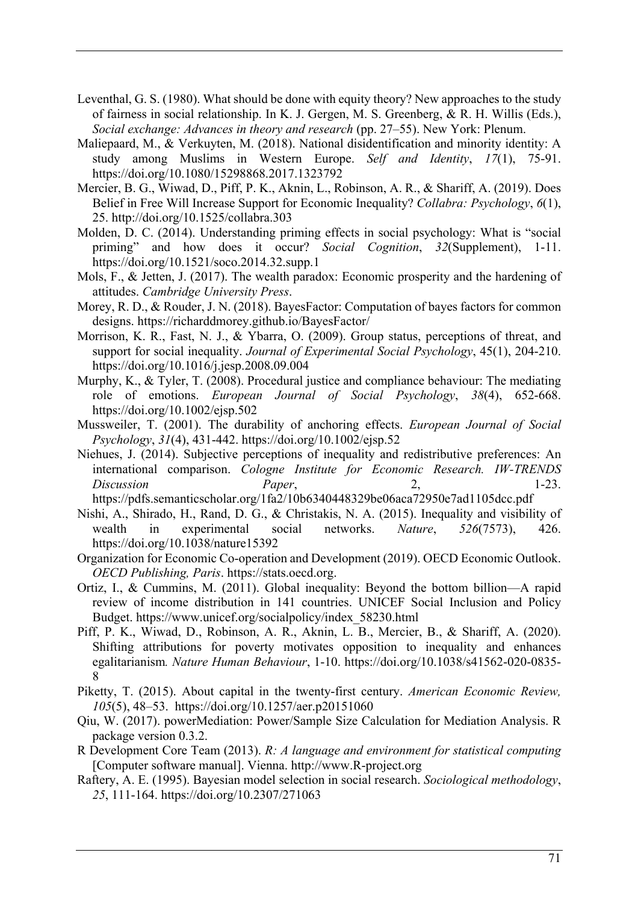- Leventhal, G. S. (1980). What should be done with equity theory? New approaches to the study of fairness in social relationship. In K. J. Gergen, M. S. Greenberg, & R. H. Willis (Eds.), *Social exchange: Advances in theory and research* (pp. 27–55). New York: Plenum.
- Maliepaard, M., & Verkuyten, M. (2018). National disidentification and minority identity: A study among Muslims in Western Europe. *Self and Identity*, *17*(1), 75-91. https://doi.org/10.1080/15298868.2017.1323792
- Mercier, B. G., Wiwad, D., Piff, P. K., Aknin, L., Robinson, A. R., & Shariff, A. (2019). Does Belief in Free Will Increase Support for Economic Inequality? *Collabra: Psychology*, *6*(1), 25. http://doi.org/10.1525/collabra.303
- Molden, D. C. (2014). Understanding priming effects in social psychology: What is "social priming" and how does it occur? *Social Cognition*, *32*(Supplement), 1-11. https://doi.org/10.1521/soco.2014.32.supp.1
- Mols, F., & Jetten, J. (2017). The wealth paradox: Economic prosperity and the hardening of attitudes. *Cambridge University Press*.
- Morey, R. D., & Rouder, J. N. (2018). BayesFactor: Computation of bayes factors for common designs. https://richarddmorey.github.io/BayesFactor/
- Morrison, K. R., Fast, N. J., & Ybarra, O. (2009). Group status, perceptions of threat, and support for social inequality. *Journal of Experimental Social Psychology*, 45(1), 204-210. https://doi.org/10.1016/j.jesp.2008.09.004
- Murphy, K., & Tyler, T. (2008). Procedural justice and compliance behaviour: The mediating role of emotions. *European Journal of Social Psychology*, *38*(4), 652-668. https://doi.org/10.1002/ejsp.502
- Mussweiler, T. (2001). The durability of anchoring effects. *European Journal of Social Psychology*, *31*(4), 431-442. https://doi.org/10.1002/ejsp.52
- Niehues, J. (2014). Subjective perceptions of inequality and redistributive preferences: An international comparison. *Cologne Institute for Economic Research. IW-TRENDS Discussion Paper*, 2, 1-23.

https://pdfs.semanticscholar.org/1fa2/10b6340448329be06aca72950e7ad1105dcc.pdf

- Nishi, A., Shirado, H., Rand, D. G., & Christakis, N. A. (2015). Inequality and visibility of wealth in experimental social networks. *Nature*, *526*(7573), 426. https://doi.org/10.1038/nature15392
- Organization for Economic Co-operation and Development (2019). OECD Economic Outlook. *OECD Publishing, Paris*. https://stats.oecd.org.
- Ortiz, I., & Cummins, M. (2011). Global inequality: Beyond the bottom billion—A rapid review of income distribution in 141 countries. UNICEF Social Inclusion and Policy Budget. https://www.unicef.org/socialpolicy/index\_58230.html
- Piff, P. K., Wiwad, D., Robinson, A. R., Aknin, L. B., Mercier, B., & Shariff, A. (2020). Shifting attributions for poverty motivates opposition to inequality and enhances egalitarianism*. Nature Human Behaviour*, 1-10. https://doi.org/10.1038/s41562-020-0835- 8
- Piketty, T. (2015). About capital in the twenty‐first century. *American Economic Review, 105*(5), 48–53. https://doi.org/10.1257/aer.p20151060
- Qiu, W. (2017). powerMediation: Power/Sample Size Calculation for Mediation Analysis. R package version 0.3.2.
- R Development Core Team (2013). *R: A language and environment for statistical computing* [Computer software manual]. Vienna. http://www.R-project.org
- Raftery, A. E. (1995). Bayesian model selection in social research. *Sociological methodology*, *25*, 111-164. https://doi.org/10.2307/271063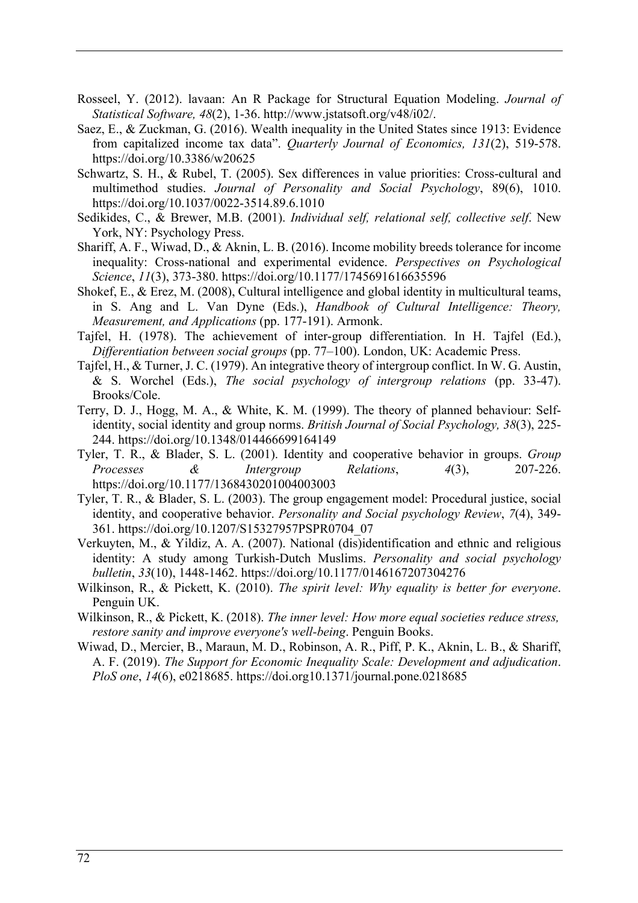- Rosseel, Y. (2012). lavaan: An R Package for Structural Equation Modeling. *Journal of Statistical Software, 48*(2), 1-36. http://www.jstatsoft.org/v48/i02/.
- Saez, E., & Zuckman, G. (2016). Wealth inequality in the United States since 1913: Evidence from capitalized income tax data". *Quarterly Journal of Economics, 131*(2), 519-578. https://doi.org/10.3386/w20625
- Schwartz, S. H., & Rubel, T. (2005). Sex differences in value priorities: Cross-cultural and multimethod studies. *Journal of Personality and Social Psychology*, 89(6), 1010. https://doi.org/10.1037/0022-3514.89.6.1010
- Sedikides, C., & Brewer, M.B. (2001). *Individual self, relational self, collective self*. New York, NY: Psychology Press.
- Shariff, A. F., Wiwad, D., & Aknin, L. B. (2016). Income mobility breeds tolerance for income inequality: Cross-national and experimental evidence. *Perspectives on Psychological Science*, *11*(3), 373-380. https://doi.org/10.1177/1745691616635596
- Shokef, E., & Erez, M. (2008), Cultural intelligence and global identity in multicultural teams, in S. Ang and L. Van Dyne (Eds.), *Handbook of Cultural Intelligence: Theory, Measurement, and Applications* (pp. 177-191). Armonk.
- Tajfel, H. (1978). The achievement of inter-group differentiation. In H. Tajfel (Ed.), *Differentiation between social groups* (pp. 77–100). London, UK: Academic Press.
- Tajfel, H., & Turner, J. C. (1979). An integrative theory of intergroup conflict. In W. G. Austin, & S. Worchel (Eds.), *The social psychology of intergroup relations* (pp. 33-47). Brooks/Cole.
- Terry, D. J., Hogg, M. A., & White, K. M. (1999). The theory of planned behaviour: Self‐ identity, social identity and group norms. *British Journal of Social Psychology, 38*(3), 225- 244. https://doi.org/10.1348/014466699164149
- Tyler, T. R., & Blader, S. L. (2001). Identity and cooperative behavior in groups. *Group Processes & Intergroup Relations*, *4*(3), 207-226. https://doi.org/10.1177/1368430201004003003
- Tyler, T. R., & Blader, S. L. (2003). The group engagement model: Procedural justice, social identity, and cooperative behavior. *Personality and Social psychology Review*, *7*(4), 349- 361. https://doi.org/10.1207/S15327957PSPR0704\_07
- Verkuyten, M., & Yildiz, A. A. (2007). National (dis)identification and ethnic and religious identity: A study among Turkish-Dutch Muslims. *Personality and social psychology bulletin*, *33*(10), 1448-1462. https://doi.org/10.1177/0146167207304276
- Wilkinson, R., & Pickett, K. (2010). *The spirit level: Why equality is better for everyone*. Penguin UK.
- Wilkinson, R., & Pickett, K. (2018). *The inner level: How more equal societies reduce stress, restore sanity and improve everyone's well-being*. Penguin Books.
- Wiwad, D., Mercier, B., Maraun, M. D., Robinson, A. R., Piff, P. K., Aknin, L. B., & Shariff, A. F. (2019). *The Support for Economic Inequality Scale: Development and adjudication*. *PloS one*, *14*(6), e0218685. https://doi.org10.1371/journal.pone.0218685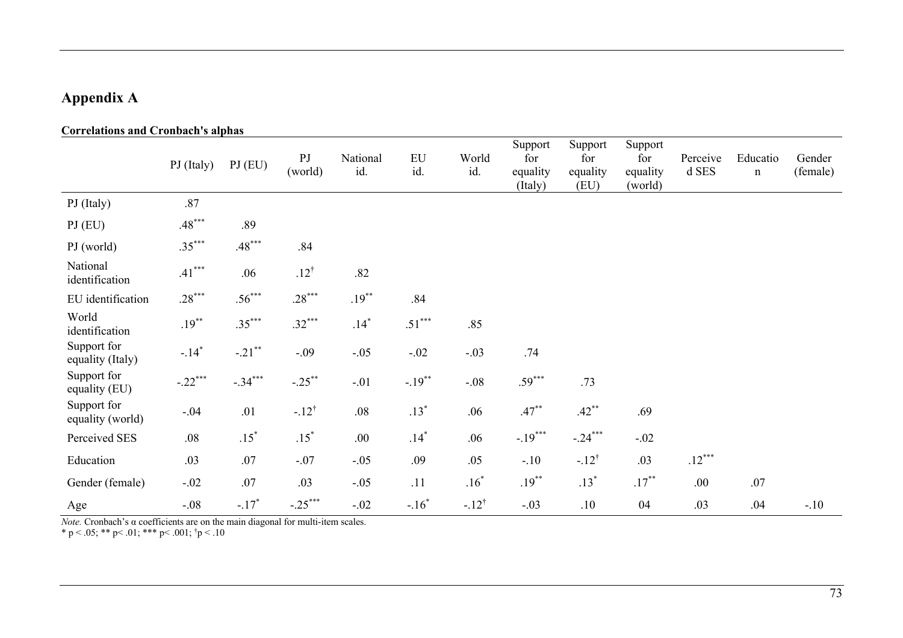# **Appendix A**

### **Correlations and Cronbach's alphas**

|                                 | PJ (Italy)          | PI(EU)    | PJ<br>(world)    | National<br>id. | ${\rm EU}$<br>id. | World<br>id.     | Support<br>for<br>equality<br>(Italy) | Support<br>for<br>equality<br>(EU) | Support<br>for<br>equality<br>(world) | Perceive<br>d SES | Educatio<br>$\mathbf n$ | Gender<br>(female) |
|---------------------------------|---------------------|-----------|------------------|-----------------|-------------------|------------------|---------------------------------------|------------------------------------|---------------------------------------|-------------------|-------------------------|--------------------|
| PJ (Italy)                      | .87                 |           |                  |                 |                   |                  |                                       |                                    |                                       |                   |                         |                    |
| PI(EU)                          | $.48***$            | .89       |                  |                 |                   |                  |                                       |                                    |                                       |                   |                         |                    |
| PJ (world)                      | $.35***$            | $.48***$  | .84              |                 |                   |                  |                                       |                                    |                                       |                   |                         |                    |
| National<br>identification      | $.41***$            | .06       | $.12^{\dagger}$  | .82             |                   |                  |                                       |                                    |                                       |                   |                         |                    |
| EU identification               | $.28***$            | $.56***$  | $.28***$         | $.19***$        | .84               |                  |                                       |                                    |                                       |                   |                         |                    |
| World<br>identification         | $.19***$            | $.35***$  | $.32***$         | $.14*$          | $.51***$          | .85              |                                       |                                    |                                       |                   |                         |                    |
| Support for<br>equality (Italy) | $-.14$ <sup>*</sup> | $-.21$ ** | $-.09$           | $-.05$          | $-.02$            | $-.03$           | .74                                   |                                    |                                       |                   |                         |                    |
| Support for<br>equality (EU)    | $-.22***$           | $-.34***$ | $-.25***$        | $-.01$          | $-.19***$         | $-.08$           | $.59***$                              | .73                                |                                       |                   |                         |                    |
| Support for<br>equality (world) | $-.04$              | .01       | $-.12^{\dagger}$ | $.08\,$         | $.13*$            | .06              | $.47***$                              | $.42***$                           | .69                                   |                   |                         |                    |
| Perceived SES                   | $.08$               | $.15*$    | $.15*$           | .00             | $.14$ $*$         | .06              | $-.19***$                             | $-.24***$                          | $-.02$                                |                   |                         |                    |
| Education                       | .03                 | .07       | $-.07$           | $-.05$          | .09               | .05              | $-.10$                                | $-.12^{\dagger}$                   | .03                                   | $.12***$          |                         |                    |
| Gender (female)                 | $-.02$              | $.07\,$   | .03              | $-.05$          | .11               | $.16*$           | $.19***$                              | $.13*$                             | $.17***$                              | .00.              | .07                     |                    |
| Age                             | $-.08$              | $-.17*$   | $-.25***$        | $-.02$          | $-.16*$           | $-.12^{\dagger}$ | $-.03$                                | .10                                | 04                                    | .03               | .04                     | $-.10$             |

*Note.* Cronbach's α coefficients are on the main diagonal for multi-item scales.

\* p < .05; \*\* p < .01; \*\*\* p < .001;  $\tau$  p < .10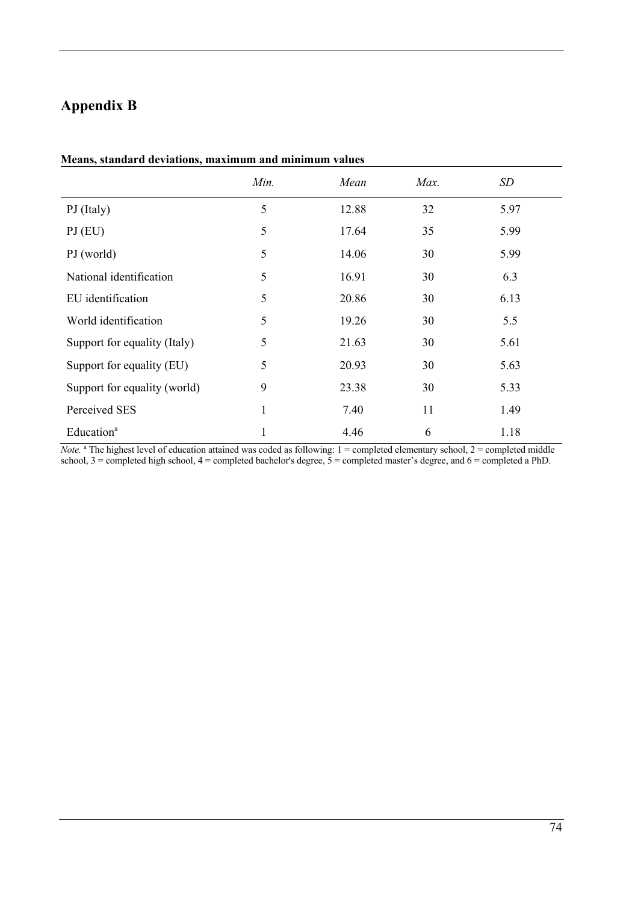# **Appendix B**

|                              | Min. | Mean  | Max. | <b>SD</b> |
|------------------------------|------|-------|------|-----------|
| PJ (Italy)                   | 5    | 12.88 | 32   | 5.97      |
| PI(EU)                       | 5    | 17.64 | 35   | 5.99      |
| PJ (world)                   | 5    | 14.06 | 30   | 5.99      |
| National identification      | 5    | 16.91 | 30   | 6.3       |
| EU identification            | 5    | 20.86 | 30   | 6.13      |
| World identification         | 5    | 19.26 | 30   | 5.5       |
| Support for equality (Italy) | 5    | 21.63 | 30   | 5.61      |
| Support for equality (EU)    | 5    | 20.93 | 30   | 5.63      |
| Support for equality (world) | 9    | 23.38 | 30   | 5.33      |
| Perceived SES                | 1    | 7.40  | 11   | 1.49      |
| Education <sup>a</sup>       | 1    | 4.46  | 6    | 1.18      |

#### **Means, standard deviations, maximum and minimum values**

*Note.* <sup>a</sup> The highest level of education attained was coded as following: 1 = completed elementary school, 2 = completed middle school, 3 = completed high school, 4 = completed bachelor's degree, 5 = completed master's degree, and 6 = completed a PhD.